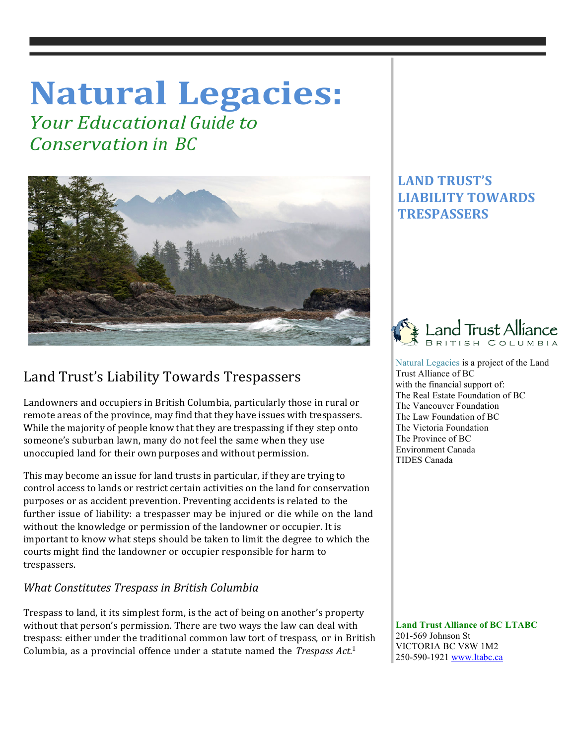# **Natural Legacies:**

*<u>Your Educational Guide to</u> Conservation in BC*



## Land Trust's Liability Towards Trespassers

Landowners and occupiers in British Columbia, particularly those in rural or remote areas of the province, may find that they have issues with trespassers. While the majority of people know that they are trespassing if they step onto someone's suburban lawn, many do not feel the same when they use unoccupied land for their own purposes and without permission.

This may become an issue for land trusts in particular, if they are trying to control access to lands or restrict certain activities on the land for conservation purposes or as accident prevention. Preventing accidents is related to the further issue of liability: a trespasser may be injured or die while on the land without the knowledge or permission of the landowner or occupier. It is important to know what steps should be taken to limit the degree to which the courts might find the landowner or occupier responsible for harm to trespassers.

#### *What Constitutes Trespass in British Columbia*

Trespass to land, it its simplest form, is the act of being on another's property without that person's permission. There are two ways the law can deal with trespass: either under the traditional common law tort of trespass, or in British Columbia, as a provincial offence under a statute named the *Trespass Act*. 1

### LAND TRUST'S **LIABILITY TOWARDS TRESPASSERS**



 Natural Legacies is a project of the Land Trust Alliance of BC with the financial support of: The Real Estate Foundation of BC The Vancouver Foundation The Law Foundation of BC The Victoria Foundation The Province of BC Environment Canada TIDES Canada

 **Land Trust Alliance of BC LTABC** 201-569 Johnson St VICTORIA BC V8W 1M2 250-590-1921 www.ltabc.ca